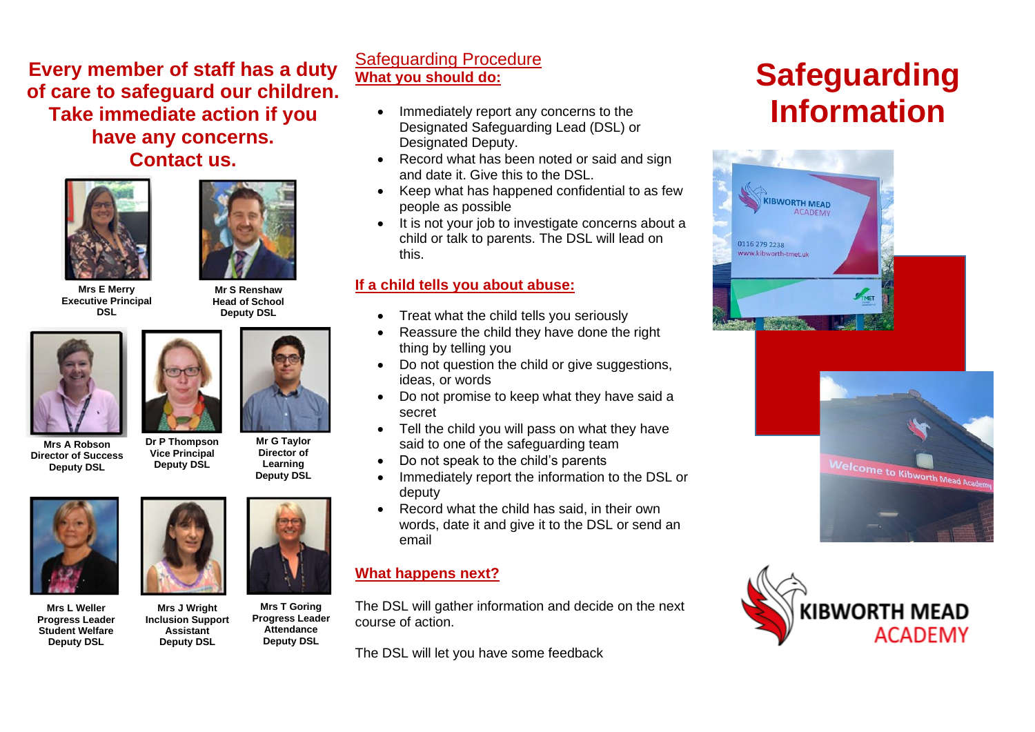**Every member of staff has a duty of care to safeguard our children. Take immediate action if you have any concerns. Contact us.**





**Head of School Deputy DSL**

> **Mr G Taylor Director of Learning Deputy DSL**

**Mrs E Merry Executive Principal DSL**



**Mrs A Robson Director of Success Deputy DSL**

**Dr P Thompson Vice Principal**

**Deputy DSL**



**Mrs L Weller Progress Leader Student Welfare Deputy DSL**



**Mrs J Wright Inclusion Support Assistant Mrs T Goring Progress Leader Attendance Deputy DSL**

**Deputy DSL**

## Safeguarding Procedure **What you should do:**

- Immediately report any concerns to the Designated Safeguarding Lead (DSL) or Designated Deputy.
- Record what has been noted or said and sign and date it. Give this to the DSL.
- Keep what has happened confidential to as few people as possible
- It is not your job to investigate concerns about a child or talk to parents. The DSL will lead on this.

#### **If a child tells you about abuse:**

- Treat what the child tells you seriously
- Reassure the child they have done the right thing by telling you
- Do not question the child or give suggestions, ideas, or words
- Do not promise to keep what they have said a secret
- Tell the child you will pass on what they have said to one of the safeguarding team
- Do not speak to the child's parents
- Immediately report the information to the DSL or deputy
- Record what the child has said, in their own words, date it and give it to the DSL or send an email

### **What happens next?**

The DSL will gather information and decide on the next course of action.

The DSL will let you have some feedback



**Safeguarding Information**